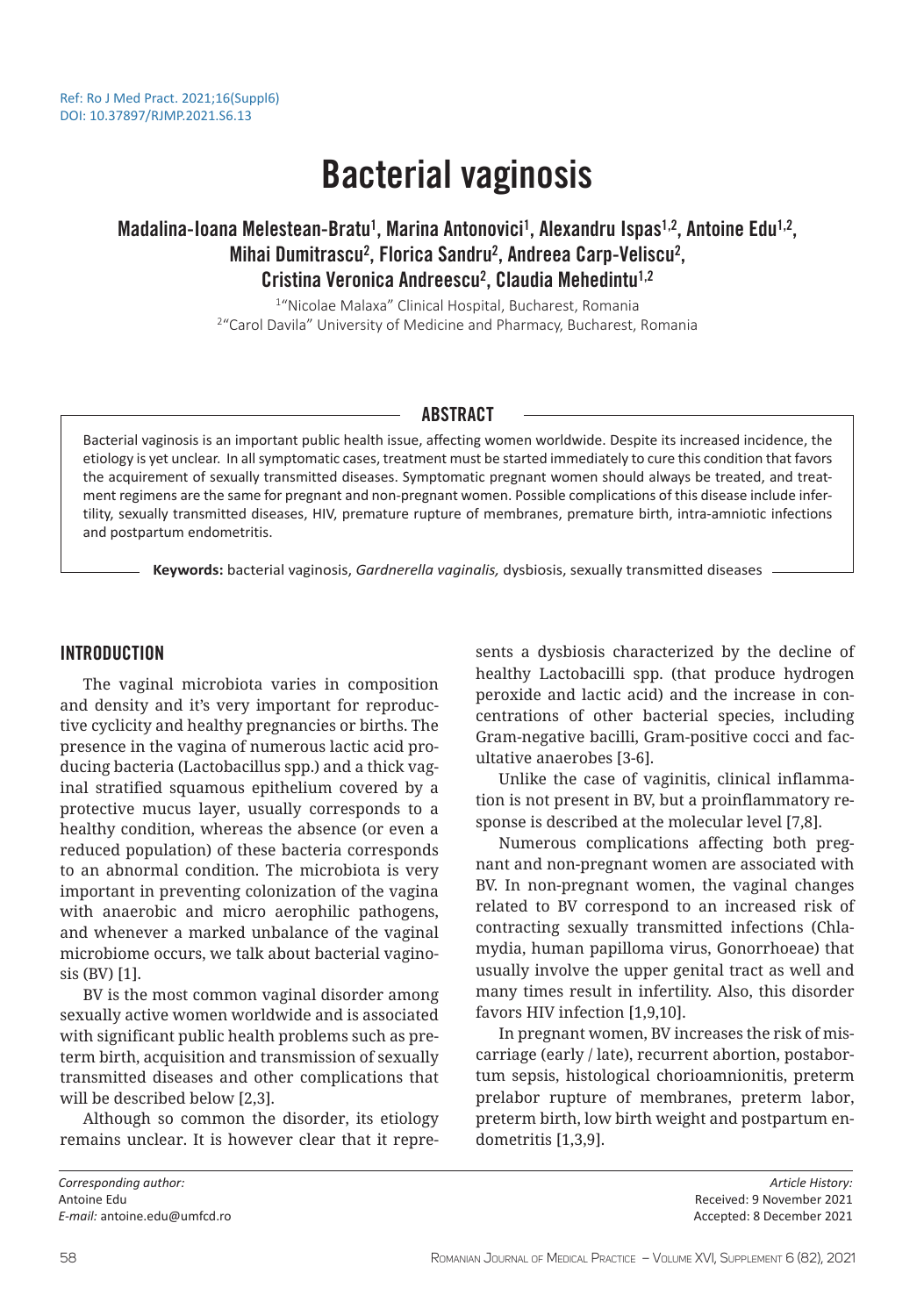# Bacterial vaginosis

# Madalina-Ioana Melestean-Bratu<sup>1</sup>, Marina Antonovici<sup>1</sup>, Alexandru Ispas<sup>1,2</sup>, Antoine Edu<sup>1,2</sup>, Mihai Dumitrascu<sup>2</sup>, Florica Sandru<sup>2</sup>, Andreea Carp-Veliscu<sup>2</sup>, Cristina Veronica Andreescu<sup>2</sup>, Claudia Mehedintu<sup>1,2</sup>

1 "Nicolae Malaxa" Clinical Hospital, Bucharest, Romania <sup>2</sup> "Carol Davila" University of Medicine and Pharmacy, Bucharest, Romania

# ABSTRACT

Bacterial vaginosis is an important public health issue, affecting women worldwide. Despite its increased incidence, the etiology is yet unclear. In all symptomatic cases, treatment must be started immediately to cure this condition that favors the acquirement of sexually transmitted diseases. Symptomatic pregnant women should always be treated, and treatment regimens are the same for pregnant and non-pregnant women. Possible complications of this disease include infertility, sexually transmitted diseases, HIV, premature rupture of membranes, premature birth, intra-amniotic infections and postpartum endometritis.

**Keywords:** bacterial vaginosis, *Gardnerella vaginalis,* dysbiosis, sexually transmitted diseases

# INTRODUCTION

The vaginal microbiota varies in composition and density and it's very important for reproductive cyclicity and healthy pregnancies or births. The presence in the vagina of numerous lactic acid producing bacteria (Lactobacillus spp.) and a thick vaginal stratified squamous epithelium covered by a protective mucus layer, usually corresponds to a healthy condition, whereas the absence (or even a reduced population) of these bacteria corresponds to an abnormal condition. The microbiota is very important in preventing colonization of the vagina with anaerobic and micro aerophilic pathogens, and whenever a marked unbalance of the vaginal microbiome occurs, we talk about bacterial vaginosis (BV) [1].

BV is the most common vaginal disorder among sexually active women worldwide and is associated with significant public health problems such as preterm birth, acquisition and transmission of sexually transmitted diseases and other complications that will be described below [2,3].

Although so common the disorder, its etiology remains unclear. It is however clear that it represents a dysbiosis characterized by the decline of healthy Lactobacilli spp. (that produce hydrogen peroxide and lactic acid) and the increase in concentrations of other bacterial species, including Gram-negative bacilli, Gram-positive cocci and facultative anaerobes [3-6].

Unlike the case of vaginitis, clinical inflammation is not present in BV, but a proinflammatory response is described at the molecular level [7,8].

Numerous complications affecting both pregnant and non-pregnant women are associated with BV. In non-pregnant women, the vaginal changes related to BV correspond to an increased risk of contracting sexually transmitted infections (Chlamydia, human papilloma virus, Gonorrhoeae) that usually involve the upper genital tract as well and many times result in infertility. Also, this disorder favors HIV infection [1,9,10].

In pregnant women, BV increases the risk of miscarriage (early / late), recurrent abortion, postabortum sepsis, histological chorioamnionitis, preterm prelabor rupture of membranes, preterm labor, preterm birth, low birth weight and postpartum endometritis [1,3,9].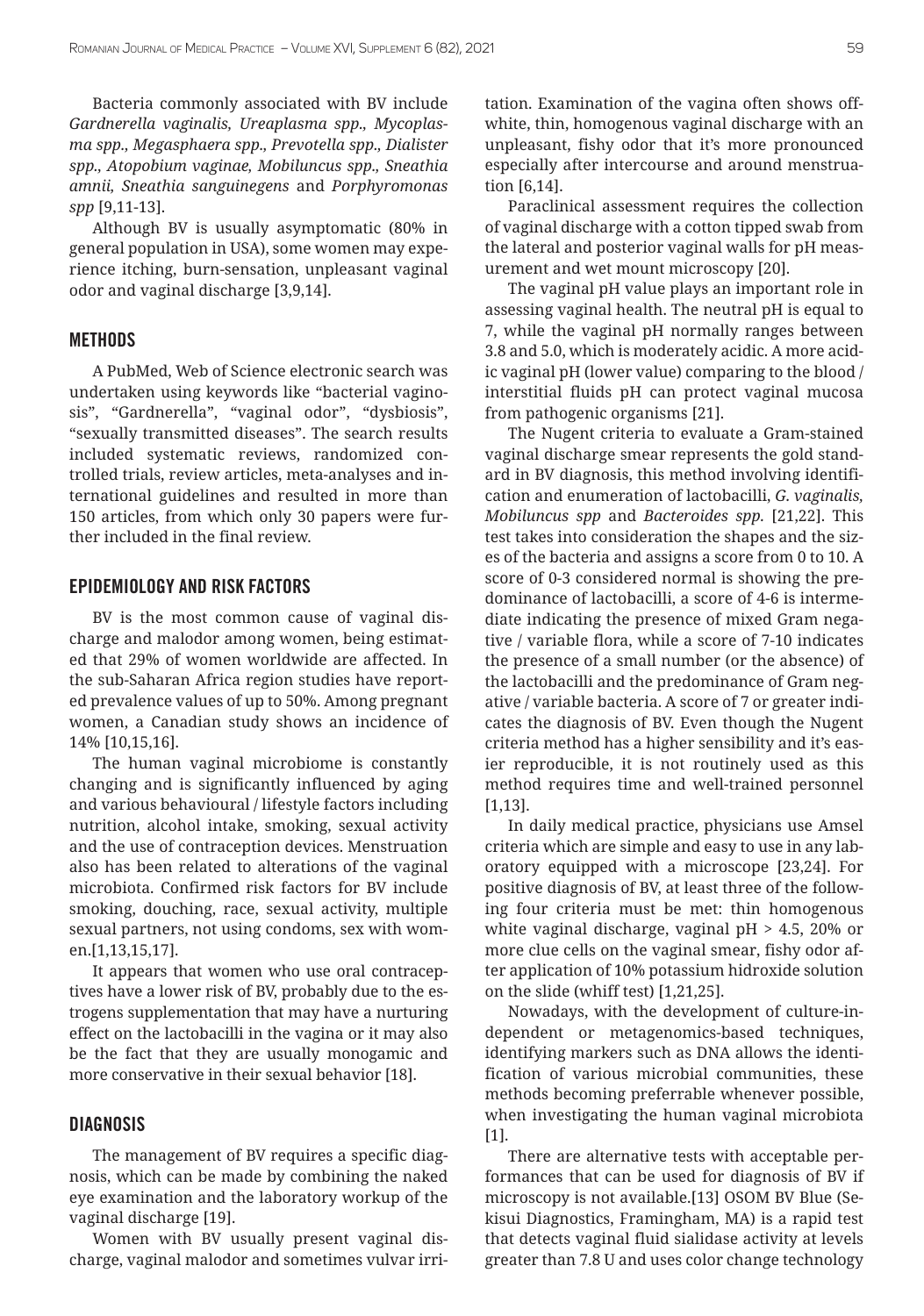Bacteria commonly associated with BV include *Gardnerella vaginalis, Ureaplasma spp., Mycoplasma spp., Megasphaera spp., Prevotella spp., Dialister spp., Atopobium vaginae, Mobiluncus spp., Sneathia amnii, Sneathia sanguinegens* and *Porphyromonas spp* [9,11-13].

Although BV is usually asymptomatic (80% in general population in USA), some women may experience itching, burn-sensation, unpleasant vaginal odor and vaginal discharge [3,9,14].

#### **METHODS**

A PubMed, Web of Science electronic search was undertaken using keywords like "bacterial vaginosis", "Gardnerella", "vaginal odor", "dysbiosis", "sexually transmitted diseases". The search results included systematic reviews, randomized controlled trials, review articles, meta-analyses and international guidelines and resulted in more than 150 articles, from which only 30 papers were further included in the final review.

# EPIDEMIOLOGY AND RISK FACTORS

BV is the most common cause of vaginal discharge and malodor among women, being estimated that 29% of women worldwide are affected. In the sub-Saharan Africa region studies have reported prevalence values of up to 50%. Among pregnant women, a Canadian study shows an incidence of 14% [10,15,16].

The human vaginal microbiome is constantly changing and is significantly influenced by aging and various behavioural / lifestyle factors including nutrition, alcohol intake, smoking, sexual activity and the use of contraception devices. Menstruation also has been related to alterations of the vaginal microbiota. Confirmed risk factors for BV include smoking, douching, race, sexual activity, multiple sexual partners, not using condoms, sex with women.[1,13,15,17].

It appears that women who use oral contraceptives have a lower risk of BV, probably due to the estrogens supplementation that may have a nurturing effect on the lactobacilli in the vagina or it may also be the fact that they are usually monogamic and more conservative in their sexual behavior [18].

#### **DIAGNOSIS**

The management of BV requires a specific diagnosis, which can be made by combining the naked eye examination and the laboratory workup of the vaginal discharge [19].

Women with BV usually present vaginal discharge, vaginal malodor and sometimes vulvar irritation. Examination of the vagina often shows offwhite, thin, homogenous vaginal discharge with an unpleasant, fishy odor that it's more pronounced especially after intercourse and around menstruation [6,14].

Paraclinical assessment requires the collection of vaginal discharge with a cotton tipped swab from the lateral and posterior vaginal walls for pH measurement and wet mount microscopy [20].

The vaginal pH value plays an important role in assessing vaginal health. The neutral pH is equal to 7, while the vaginal pH normally ranges between 3.8 and 5.0, which is moderately acidic. A more acidic vaginal pH (lower value) comparing to the blood / interstitial fluids pH can protect vaginal mucosa from pathogenic organisms [21].

The Nugent criteria to evaluate a Gram-stained vaginal discharge smear represents the gold standard in BV diagnosis, this method involving identification and enumeration of lactobacilli, *G. vaginalis, Mobiluncus spp* and *Bacteroides spp.* [21,22]. This test takes into consideration the shapes and the sizes of the bacteria and assigns a score from 0 to 10. A score of 0-3 considered normal is showing the predominance of lactobacilli, a score of 4-6 is intermediate indicating the presence of mixed Gram negative / variable flora, while a score of 7-10 indicates the presence of a small number (or the absence) of the lactobacilli and the predominance of Gram negative / variable bacteria. A score of 7 or greater indicates the diagnosis of BV. Even though the Nugent criteria method has a higher sensibility and it's easier reproducible, it is not routinely used as this method requires time and well-trained personnel [1,13].

In daily medical practice, physicians use Amsel criteria which are simple and easy to use in any laboratory equipped with a microscope [23,24]. For positive diagnosis of BV, at least three of the following four criteria must be met: thin homogenous white vaginal discharge, vaginal pH > 4.5, 20% or more clue cells on the vaginal smear, fishy odor after application of 10% potassium hidroxide solution on the slide (whiff test) [1,21,25].

Nowadays, with the development of culture-independent or metagenomics-based techniques, identifying markers such as DNA allows the identification of various microbial communities, these methods becoming preferrable whenever possible, when investigating the human vaginal microbiota [1].

There are alternative tests with acceptable performances that can be used for diagnosis of BV if microscopy is not available.[13] OSOM BV Blue (Sekisui Diagnostics, Framingham, MA) is a rapid test that detects vaginal fluid sialidase activity at levels greater than 7.8 U and uses color change technology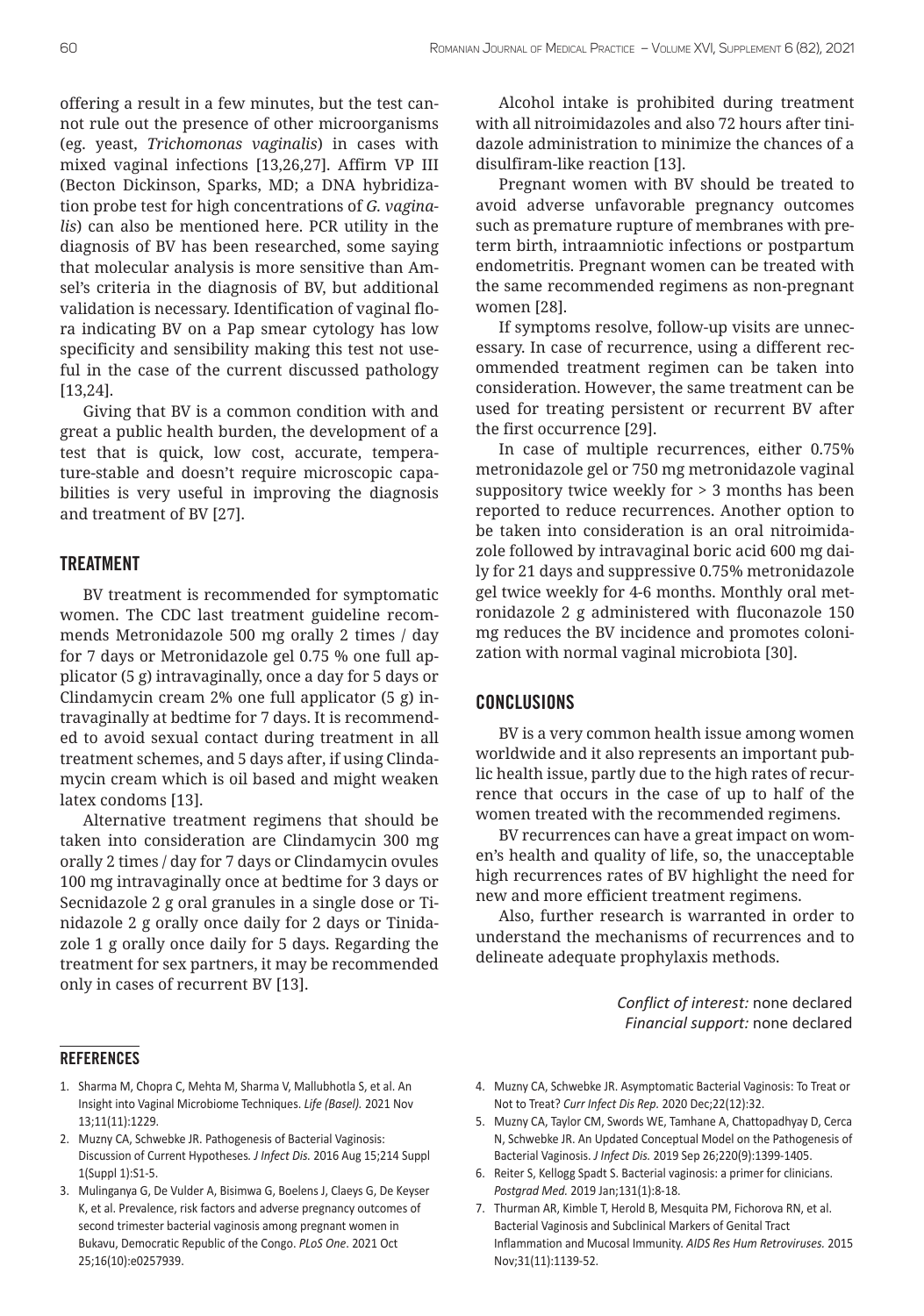offering a result in a few minutes, but the test cannot rule out the presence of other microorganisms (eg. yeast, *Trichomonas vaginalis*) in cases with mixed vaginal infections [13,26,27]. Affirm VP III (Becton Dickinson, Sparks, MD; a DNA hybridization probe test for high concentrations of *G. vaginalis*) can also be mentioned here. PCR utility in the diagnosis of BV has been researched, some saying that molecular analysis is more sensitive than Amsel's criteria in the diagnosis of BV, but additional validation is necessary. Identification of vaginal flora indicating BV on a Pap smear cytology has low specificity and sensibility making this test not useful in the case of the current discussed pathology [13,24].

Giving that BV is a common condition with and great a public health burden, the development of a test that is quick, low cost, accurate, temperature-stable and doesn't require microscopic capabilities is very useful in improving the diagnosis and treatment of BV [27].

## TREATMENT

BV treatment is recommended for symptomatic women. The CDC last treatment guideline recommends Metronidazole 500 mg orally 2 times / day for 7 days or Metronidazole gel 0.75 % one full applicator (5 g) intravaginally, once a day for 5 days or Clindamycin cream 2% one full applicator (5 g) intravaginally at bedtime for 7 days. It is recommended to avoid sexual contact during treatment in all treatment schemes, and 5 days after, if using Clindamycin cream which is oil based and might weaken latex condoms [13].

Alternative treatment regimens that should be taken into consideration are Clindamycin 300 mg orally 2 times / day for 7 days or Clindamycin ovules 100 mg intravaginally once at bedtime for 3 days or Secnidazole 2 g oral granules in a single dose or Tinidazole 2 g orally once daily for 2 days or Tinidazole 1 g orally once daily for 5 days. Regarding the treatment for sex partners, it may be recommended only in cases of recurrent BV [13].

#### **REFERENCES**

- 1. Sharma M, Chopra C, Mehta M, Sharma V, Mallubhotla S, et al. An Insight into Vaginal Microbiome Techniques. *Life (Basel).* 2021 Nov 13;11(11):1229.
- 2. Muzny CA, Schwebke JR. Pathogenesis of Bacterial Vaginosis: Discussion of Current Hypotheses*. J Infect Dis.* 2016 Aug 15;214 Suppl 1(Suppl 1):S1-5.
- 3. Mulinganya G, De Vulder A, Bisimwa G, Boelens J, Claeys G, De Keyser K, et al. Prevalence, risk factors and adverse pregnancy outcomes of second trimester bacterial vaginosis among pregnant women in Bukavu, Democratic Republic of the Congo. *PLoS One*. 2021 Oct 25;16(10):e0257939.

Alcohol intake is prohibited during treatment with all nitroimidazoles and also 72 hours after tinidazole administration to minimize the chances of a disulfiram-like reaction [13].

Pregnant women with BV should be treated to avoid adverse unfavorable pregnancy outcomes such as premature rupture of membranes with preterm birth, intraamniotic infections or postpartum endometritis. Pregnant women can be treated with the same recommended regimens as non-pregnant women [28].

If symptoms resolve, follow-up visits are unnecessary. In case of recurrence, using a different recommended treatment regimen can be taken into consideration. However, the same treatment can be used for treating persistent or recurrent BV after the first occurrence [29].

In case of multiple recurrences, either 0.75% metronidazole gel or 750 mg metronidazole vaginal suppository twice weekly for > 3 months has been reported to reduce recurrences. Another option to be taken into consideration is an oral nitroimidazole followed by intravaginal boric acid 600 mg daily for 21 days and suppressive 0.75% metronidazole gel twice weekly for 4-6 months. Monthly oral metronidazole 2 g administered with fluconazole 150 mg reduces the BV incidence and promotes colonization with normal vaginal microbiota [30].

## **CONCLUSIONS**

BV is a very common health issue among women worldwide and it also represents an important public health issue, partly due to the high rates of recurrence that occurs in the case of up to half of the women treated with the recommended regimens.

BV recurrences can have a great impact on women's health and quality of life, so, the unacceptable high recurrences rates of BV highlight the need for new and more efficient treatment regimens.

Also, further research is warranted in order to understand the mechanisms of recurrences and to delineate adequate prophylaxis methods.

> *Conflict of interest:* none declared *Financial support:* none declared

- 4. Muzny CA, Schwebke JR. Asymptomatic Bacterial Vaginosis: To Treat or Not to Treat? *Curr Infect Dis Rep.* 2020 Dec;22(12):32.
- 5. Muzny CA, Taylor CM, Swords WE, Tamhane A, Chattopadhyay D, Cerca N, Schwebke JR. An Updated Conceptual Model on the Pathogenesis of Bacterial Vaginosis. *J Infect Dis.* 2019 Sep 26;220(9):1399-1405.
- 6. Reiter S, Kellogg Spadt S. Bacterial vaginosis: a primer for clinicians. *Postgrad Med.* 2019 Jan;131(1):8-18.
- 7. Thurman AR, Kimble T, Herold B, Mesquita PM, Fichorova RN, et al. Bacterial Vaginosis and Subclinical Markers of Genital Tract Inflammation and Mucosal Immunity. *AIDS Res Hum Retroviruses.* 2015 Nov;31(11):1139-52.